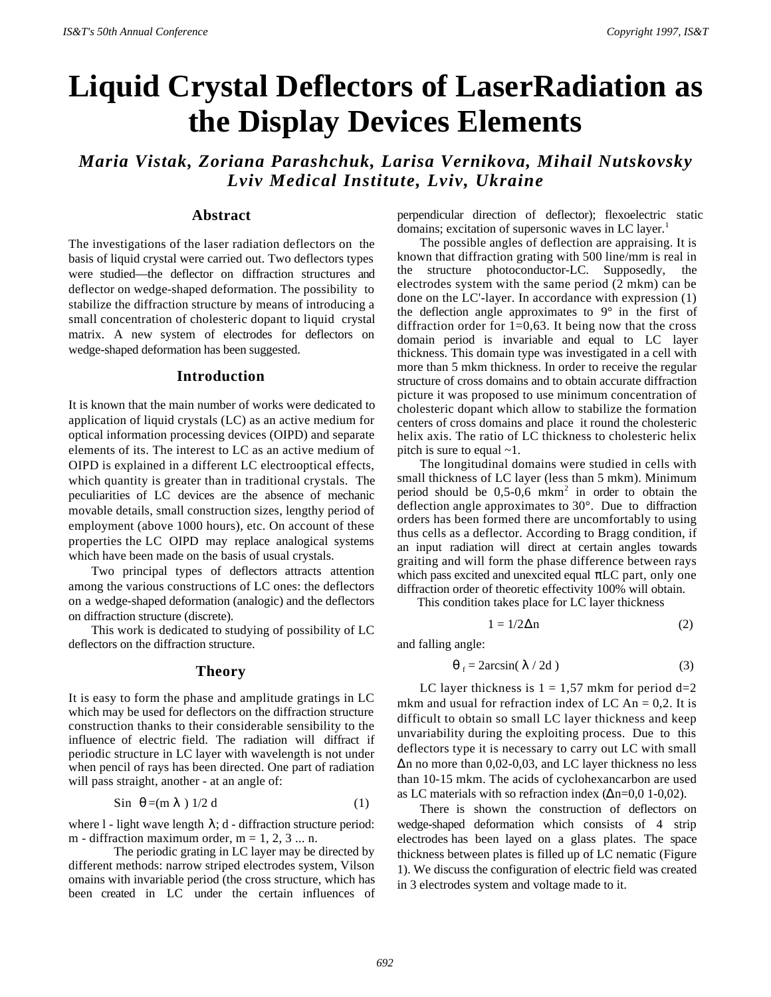# **Liquid Crystal Deflectors of LaserRadiation as the Display Devices Elements**

*Maria Vistak, Zoriana Parashchuk, Larisa Vernikova, Mihail Nutskovsky Lviv Medical Institute, Lviv, Ukraine*

## **Abstract**

The investigations of the laser radiation deflectors on the basis of liquid crystal were carried out. Two deflectors types were studied—the deflector on diffraction structures and deflector on wedge-shaped deformation. The possibility to stabilize the diffraction structure by means of introducing a small concentration of cholesteric dopant to liquid crystal matrix. A new system of electrodes for deflectors on wedge-shaped deformation has been suggested.

#### **Introduction**

It is known that the main number of works were dedicated to application of liquid crystals (LC) as an active medium for optical information processing devices (OIPD) and separate elements of its. The interest to LC as an active medium of OIPD is explained in a different LC electrooptical effects, which quantity is greater than in traditional crystals. The peculiarities of LC devices are the absence of mechanic movable details, small construction sizes, lengthy period of employment (above 1000 hours), etc. On account of these properties the LC OIPD may replace analogical systems which have been made on the basis of usual crystals.

Two principal types of deflectors attracts attention among the various constructions of LC ones: the deflectors on a wedge-shaped deformation (analogic) and the deflectors on diffraction structure (discrete).

This work is dedicated to studying of possibility of LC deflectors on the diffraction structure.

## **Theory**

It is easy to form the phase and amplitude gratings in LC which may be used for deflectors on the diffraction structure construction thanks to their considerable sensibility to the influence of electric field. The radiation will diffract if periodic structure in LC layer with wavelength is not under when pencil of rays has been directed. One part of radiation will pass straight, another - at an angle of:

$$
\sin \theta = (\text{m } \lambda) \frac{1}{2} \text{ d} \tag{1}
$$

where l - light wave length  $\lambda$ ; d - diffraction structure period: m - diffraction maximum order,  $m = 1, 2, 3 ... n$ .

The periodic grating in LC layer may be directed by different methods: narrow striped electrodes system, Vilson omains with invariable period (the cross structure, which has been created in LC under the certain influences of perpendicular direction of deflector); flexoelectric static domains; excitation of supersonic waves in LC layer.<sup>1</sup>

The possible angles of deflection are appraising. It is known that diffraction grating with 500 line/mm is real in the structure photoconductor-LC. Supposedly, the electrodes system with the same period (2 mkm) can be done on the LC'-layer. In accordance with expression (1) the deflection angle approximates to  $9^{\circ}$  in the first of diffraction order for 1=0,63. It being now that the cross domain period is invariable and equal to LC layer thickness. This domain type was investigated in a cell with more than 5 mkm thickness. In order to receive the regular structure of cross domains and to obtain accurate diffraction picture it was proposed to use minimum concentration of cholesteric dopant which allow to stabilize the formation centers of cross domains and place it round the cholesteric helix axis. The ratio of LC thickness to cholesteric helix pitch is sure to equal  $\sim$ 1.

The longitudinal domains were studied in cells with small thickness of LC layer (less than 5 mkm). Minimum period should be  $0,5-0,6$  mkm<sup>2</sup> in order to obtain the deflection angle approximates to 30°. Due to diffraction orders has been formed there are uncomfortably to using thus cells as a deflector. According to Bragg condition, if an input radiation will direct at certain angles towards graiting and will form the phase difference between rays which pass excited and unexcited equal  $\pi LC$  part, only one diffraction order of theoretic effectivity 100% will obtain.

This condition takes place for LC layer thickness

$$
1 = 1/2\Delta n \tag{2}
$$

and falling angle:

$$
\theta_{f} = 2\arcsin(\lambda/2d)
$$
 (3)

LC layer thickness is  $1 = 1,57$  mkm for period  $d=2$ mkm and usual for refraction index of LC An  $= 0.2$ . It is difficult to obtain so small LC layer thickness and keep unvariability during the exploiting process. Due to this deflectors type it is necessary to carry out LC with small Δn no more than 0,02-0,03, and LC layer thickness no less than 10-15 mkm. The acids of cyclohexancarbon are used as LC materials with so refraction index  $(\Delta n=0.01-0.02)$ .

There is shown the construction of deflectors on wedge-shaped deformation which consists of 4 strip electrodes has been layed on a glass plates. The space thickness between plates is filled up of LC nematic (Figure 1). We discuss the configuration of electric field was created in 3 electrodes system and voltage made to it.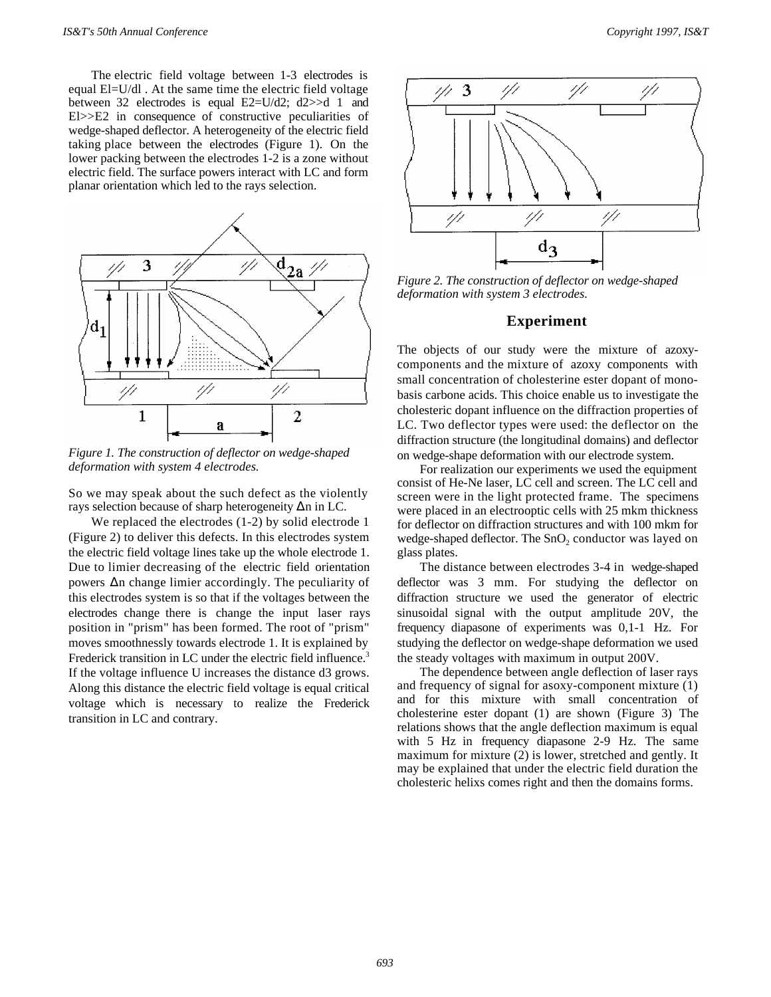The electric field voltage between 1-3 electrodes is equal El=U/dl . At the same time the electric field voltage between 32 electrodes is equal E2=U/d2; d2>>d 1 and El>>E2 in consequence of constructive peculiarities of wedge-shaped deflector. A heterogeneity of the electric field taking place between the electrodes (Figure 1). On the lower packing between the electrodes 1-2 is a zone without electric field. The surface powers interact with LC and form planar orientation which led to the rays selection.



*Figure 1. The construction of deflector on wedge-shaped deformation with system 4 electrodes.*

So we may speak about the such defect as the violently rays selection because of sharp heterogeneity Δn in LC.

We replaced the electrodes (1-2) by solid electrode 1 (Figure 2) to deliver this defects. In this electrodes system the electric field voltage lines take up the whole electrode 1. Due to limier decreasing of the electric field orientation powers Δn change limier accordingly. The peculiarity of this electrodes system is so that if the voltages between the electrodes change there is change the input laser rays position in "prism" has been formed. The root of "prism" moves smoothnessly towards electrode 1. It is explained by Frederick transition in LC under the electric field influence.<sup>3</sup> If the voltage influence U increases the distance d3 grows. Along this distance the electric field voltage is equal critical voltage which is necessary to realize the Frederick transition in LC and contrary.



*Figure 2. The construction of deflector on wedge-shaped deformation with system 3 electrodes.*

#### **Experiment**

The objects of our study were the mixture of azoxycomponents and the mixture of azoxy components with small concentration of cholesterine ester dopant of monobasis carbone acids. This choice enable us to investigate the cholesteric dopant influence on the diffraction properties of LC. Two deflector types were used: the deflector on the diffraction structure (the longitudinal domains) and deflector on wedge-shape deformation with our electrode system.

For realization our experiments we used the equipment consist of He-Ne laser, LC cell and screen. The LC cell and screen were in the light protected frame. The specimens were placed in an electrooptic cells with 25 mkm thickness for deflector on diffraction structures and with 100 mkm for wedge-shaped deflector. The  $SnO_2$  conductor was layed on glass plates.

The distance between electrodes 3-4 in wedge-shaped deflector was 3 mm. For studying the deflector on diffraction structure we used the generator of electric sinusoidal signal with the output amplitude 20V, the frequency diapasone of experiments was 0,1-1 Hz. For studying the deflector on wedge-shape deformation we used the steady voltages with maximum in output 200V.

The dependence between angle deflection of laser rays and frequency of signal for asoxy-component mixture (1) and for this mixture with small concentration of cholesterine ester dopant (1) are shown (Figure 3) The relations shows that the angle deflection maximum is equal with 5 Hz in frequency diapasone 2-9 Hz. The same maximum for mixture (2) is lower, stretched and gently. It may be explained that under the electric field duration the cholesteric helixs comes right and then the domains forms.